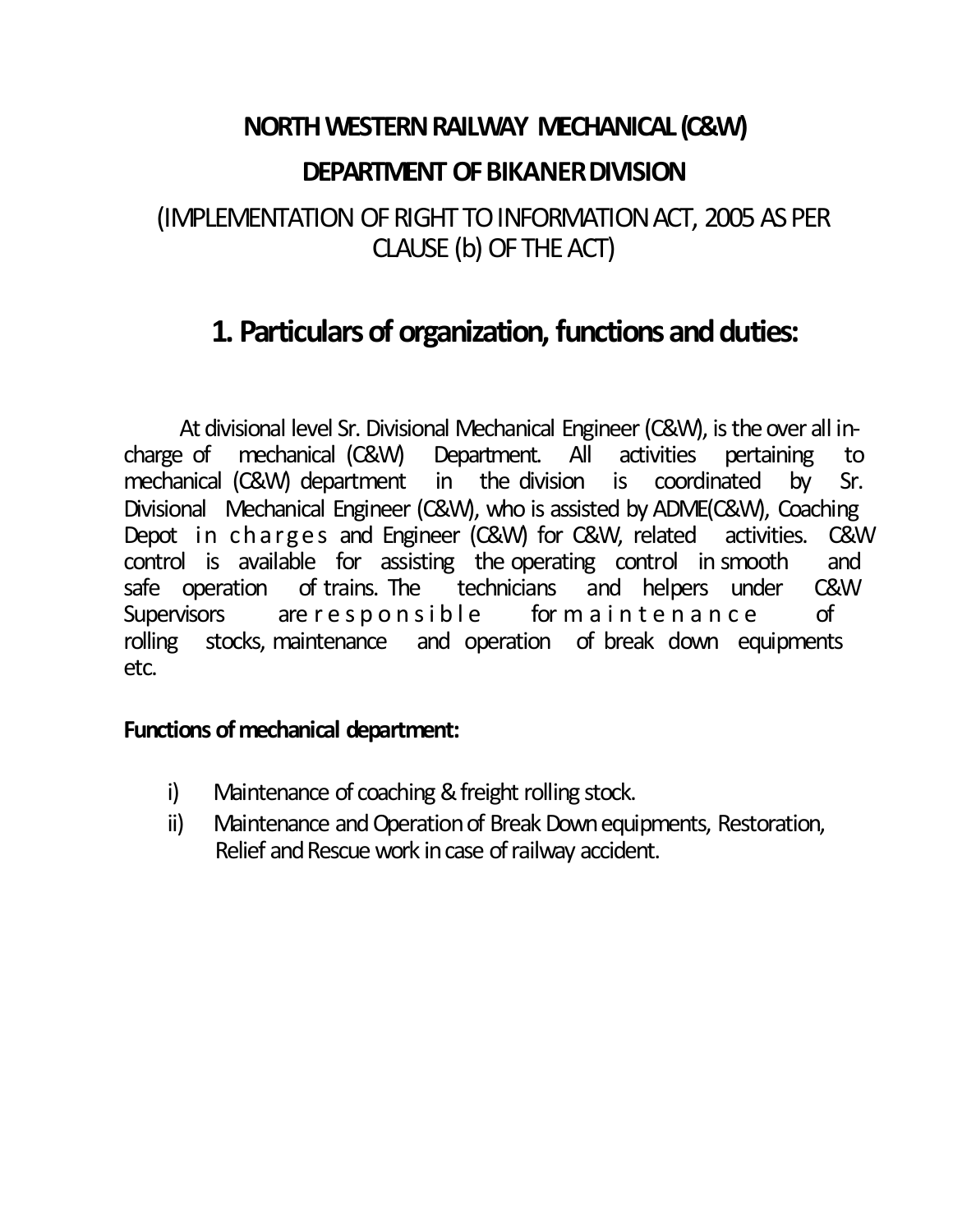# **NORTH WESTERN RAILWAY MECHANICAL (C&W) DEPARTMENT OF BIKANER DIVISION**

#### (IMPLEMENTATION OF RIGHT TO INFORMATION ACT, 2005 AS PER CLAUSE (b) OF THE ACT)

### **1. Particulars of organization, functions and duties:**

At divisional level Sr. Divisional Mechanical Engineer (C&W), is the over all incharge of mechanical (C&W) Department. All activities pertaining to mechanical (C&W) department in the division is coordinated by Sr. Divisional Mechanical Engineer (C&W), who is assisted by ADME(C&W), Coaching Depot in charges and Engineer (C&W) for C&W, related activities. C&W control is available for assisting the operating control in smooth and safe operation of trains. The technicians and helpers under C&W Supervisors are responsible formaintenance of rolling stocks, maintenance and operation of break down equipments etc.

#### **Functions of mechanical department:**

- i) Maintenance of coaching & freight rolling stock.
- ii) Maintenance and Operation of Break Down equipments, Restoration, Relief and Rescue work in case of railway accident.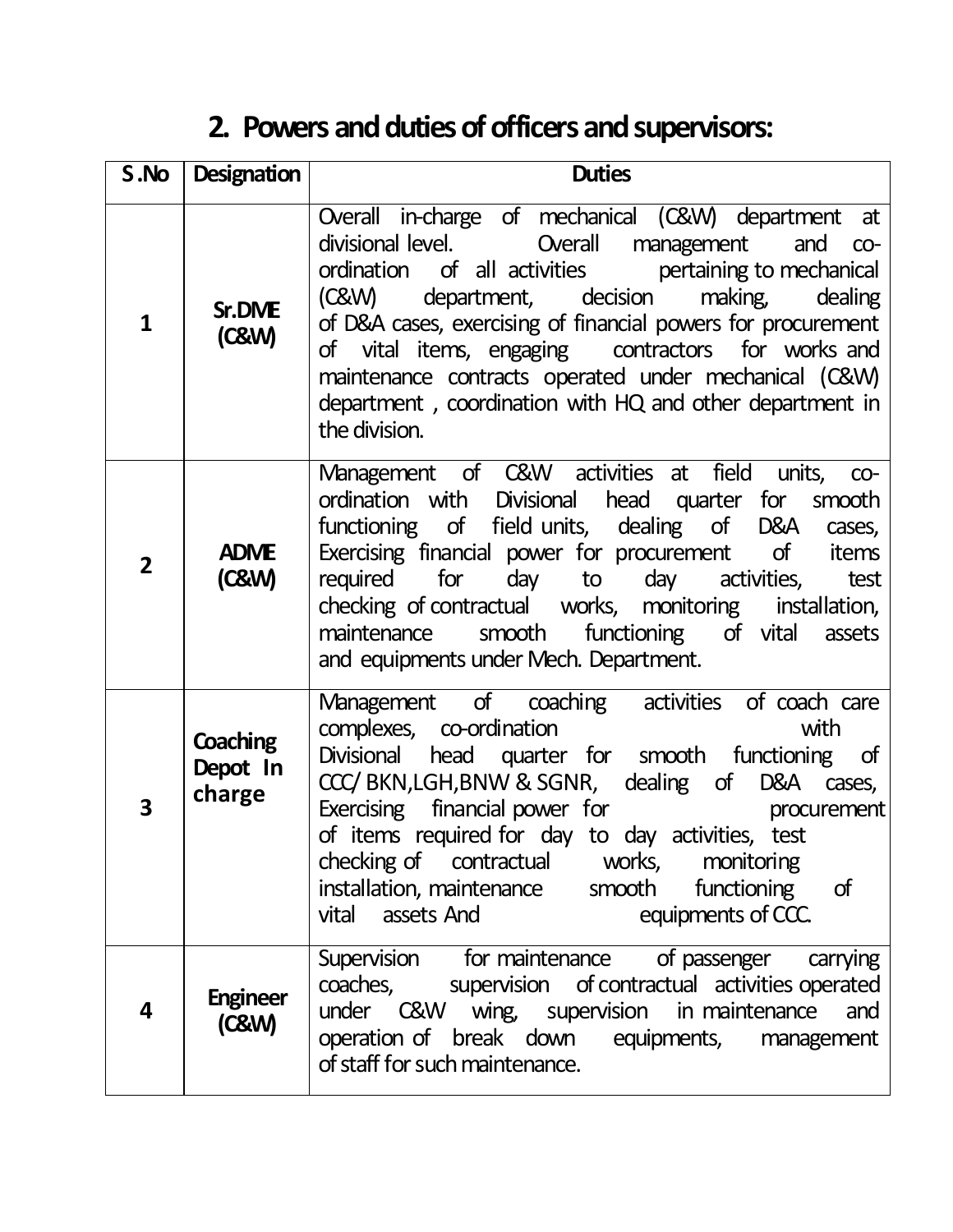# **2. Powers and duties of officers and supervisors:**

| S.No           | <b>Designation</b>             | <b>Duties</b>                                                                                                                                                                                                                                                                                                                                                                                                                                                                 |  |  |  |
|----------------|--------------------------------|-------------------------------------------------------------------------------------------------------------------------------------------------------------------------------------------------------------------------------------------------------------------------------------------------------------------------------------------------------------------------------------------------------------------------------------------------------------------------------|--|--|--|
| 1              | <b>Sr.DIVE</b><br>(C&W)        | Overall in-charge of mechanical (C&W) department at<br>divisional level.  Overall management and co-<br>ordination of all activities pertaining to mechanical<br>department, decision making,<br>dealing<br>(C&W)<br>of D&A cases, exercising of financial powers for procurement<br>of vital items, engaging contractors for works and<br>maintenance contracts operated under mechanical (C&W)<br>department, coordination with HQ and other department in<br>the division. |  |  |  |
| $\overline{2}$ | <b>ADME</b><br>(C&W)           | Management of C&W activities at field units,<br>$CO-$<br>ordination with Divisional head quarter<br>for smooth<br>functioning of field units, dealing of D&A<br>cases,<br>Exercising financial power for procurement of<br>items<br>required for<br>day to<br>day activities,<br>test<br>checking of contractual works, monitoring installation,<br>smooth functioning of vital assets<br>maintenance<br>and equipments under Mech. Department.                               |  |  |  |
| 3              | Coaching<br>Depot In<br>charge | Management of coaching activities of coach care<br>complexes, co-ordination<br>with<br>head quarter for smooth functioning<br><b>Divisional</b><br>of<br>CCC/BKN, LGH, BNW & SGNR, dealing of D&A cases,<br>Exercising financial power for<br>procurement<br>of items required for day to day activities, test<br>checking of contractual<br>works,<br>monitoring<br>installation, maintenance<br>smooth<br>functioning<br>of<br>equipments of CCC.<br>assets And<br>vital    |  |  |  |
| 4              | <b>Engineer</b><br>(C&W)       | of passenger carrying<br>Supervision for maintenance<br>coaches, supervision of contractual activities operated<br>under C&W wing, supervision in maintenance<br>and<br>operation of break down equipments, management<br>of staff for such maintenance.                                                                                                                                                                                                                      |  |  |  |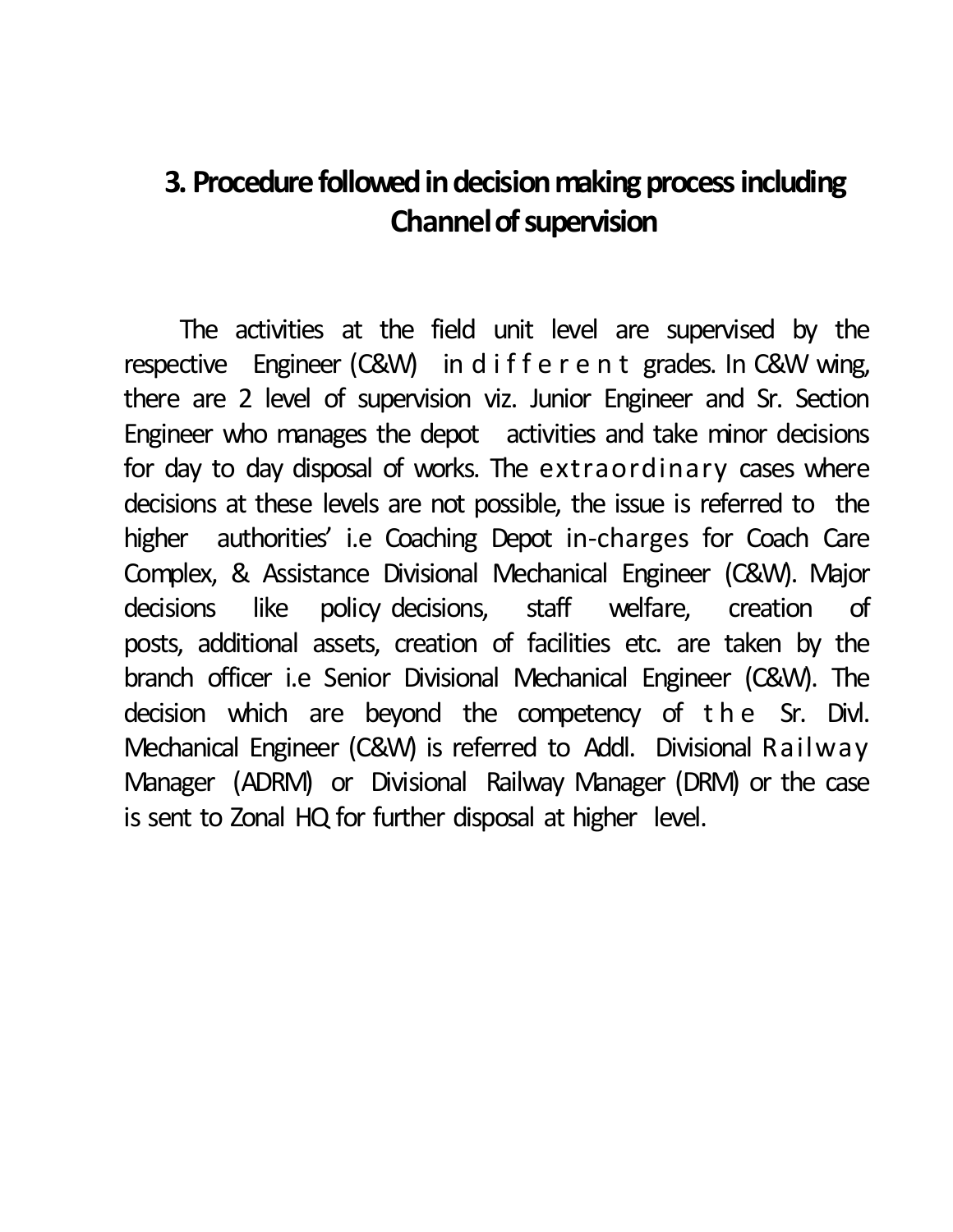## **3. Procedure followed in decision making process including Channel of supervision**

The activities at the field unit level are supervised by the respective Engineer (C&W) in d i f f e r e n t grades. In C&W wing, there are 2 level of supervision viz. Junior Engineer and Sr. Section Engineer who manages the depot activities and take minor decisions for day to day disposal of works. The extraordinary cases where decisions at these levels are not possible, the issue is referred to the higher authorities' i.e Coaching Depot in-charges for Coach Care Complex, & Assistance Divisional Mechanical Engineer (C&W). Major decisions like policy decisions, staff welfare, creation of posts, additional assets, creation of facilities etc. are taken by the branch officer i.e Senior Divisional Mechanical Engineer (C&W). The decision which are beyond the competency of the Sr. Divl. Mechanical Engineer (C&W) is referred to Addl. Divisional Railway Manager (ADRM) or Divisional Railway Manager (DRM) or the case is sent to Zonal HQ for further disposal at higher level.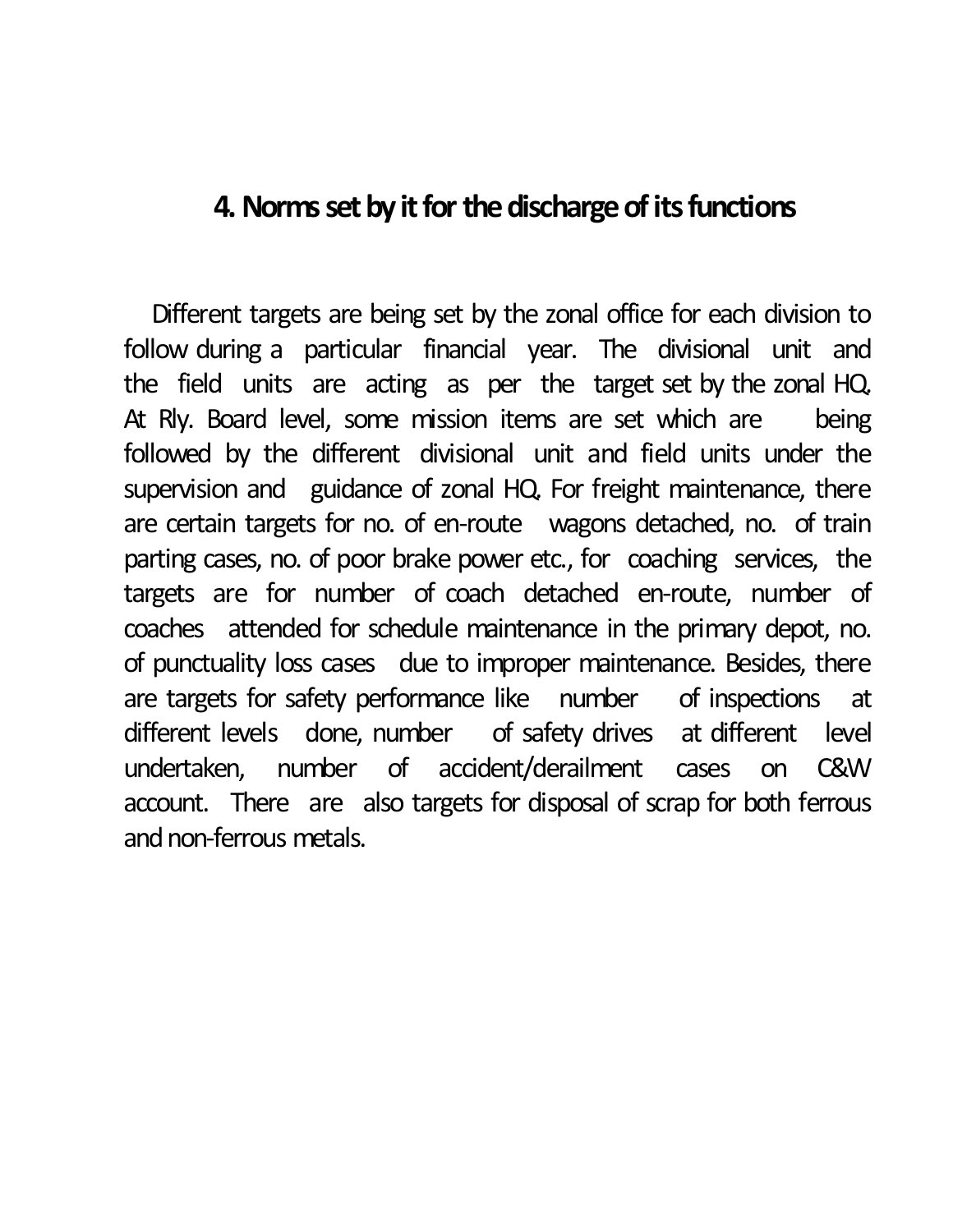### **4. Norms set by it for the discharge of its functions**

Different targets are being set by the zonal office for each division to follow during a particular financial year. The divisional unit and the field units are acting as per the target set by the zonal HQ. At Rly. Board level, some mission items are set which are being followed by the different divisional unit and field units under the supervision and guidance of zonal HQ. For freight maintenance, there are certain targets for no. of en-route wagons detached, no. of train parting cases, no. of poor brake power etc., for coaching services, the targets are for number of coach detached en-route, number of coaches attended for schedule maintenance in the primary depot, no. of punctuality loss cases due to improper maintenance. Besides, there are targets for safety performance like number of inspections at different levels done, number of safety drives at different level undertaken, number of accident/derailment cases on C&W account. There are also targets for disposal of scrap for both ferrous and non-ferrous metals.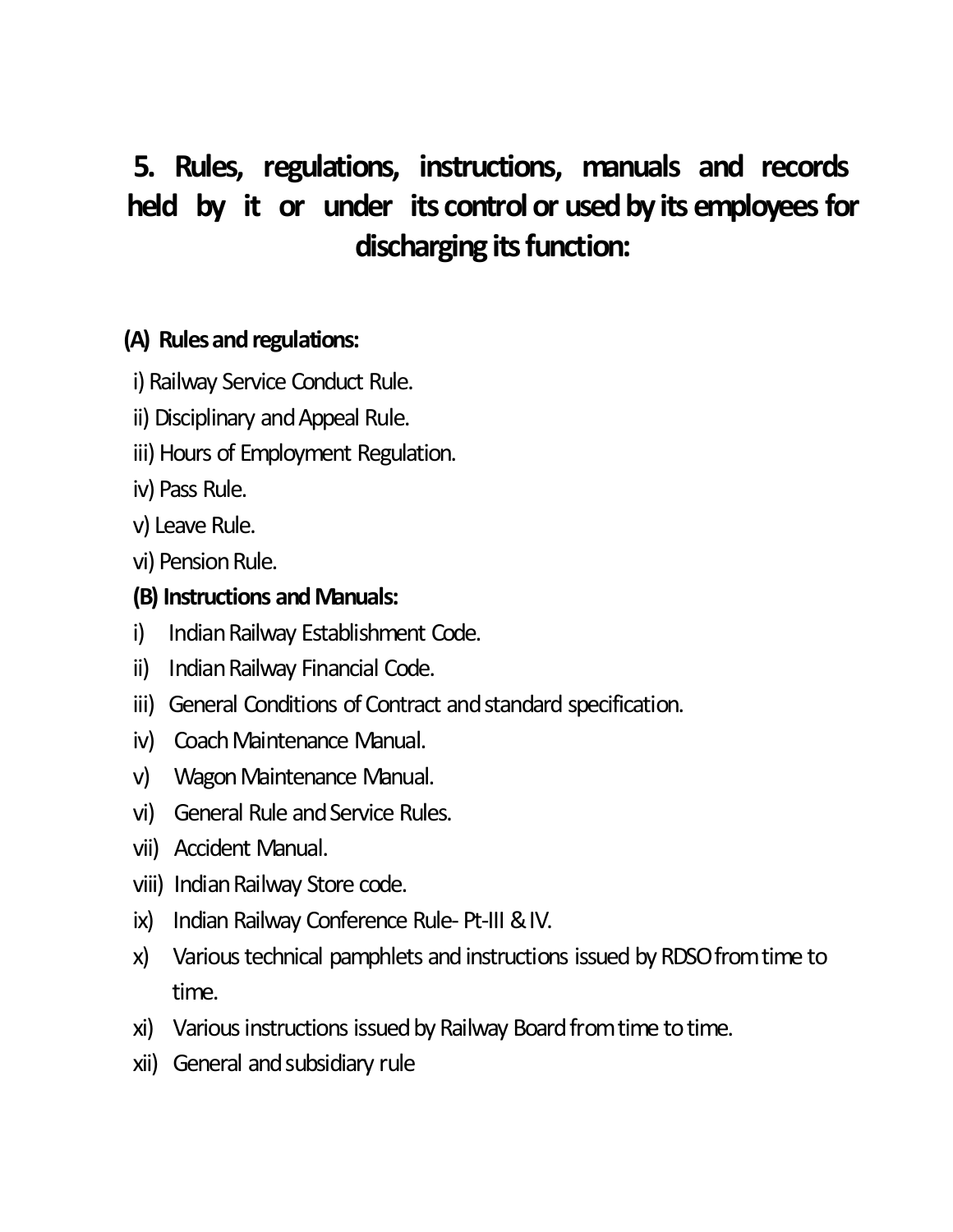## **5. Rules, regulations, instructions, manuals and records held** by it or under its control or used by its employees for discharging its function:

#### **(A)** Rules and regulations:

- i) Railway Service Conduct Rule.
- ii) Disciplinary and Appeal Rule.
- iii) Hours of Employment Regulation.
- iv) Pass Rule.
- v) Leave Rule.
- vi) Pension Rule.

#### **(B) Instructions andManuals:**

- i) Indian Railway Establishment Code.
- ii) Indian Railway Financial Code.
- iii) General Conditions of Contract and standard specification.
- iv) Coach Maintenance Manual.
- v) Wagon Maintenance Manual.
- vi) General Rule and Service Rules.
- vii) Accident Manual.
- viii) Indian Railway Store code.
- ix) Indian Railway Conference Rule- Pt-III &IV.
- x) Various technical pamphlets and instructions issued by RDSO from time to time.
- xi) Various instructions issued by Railway Board from time to time.
- xii) General and subsidiary rule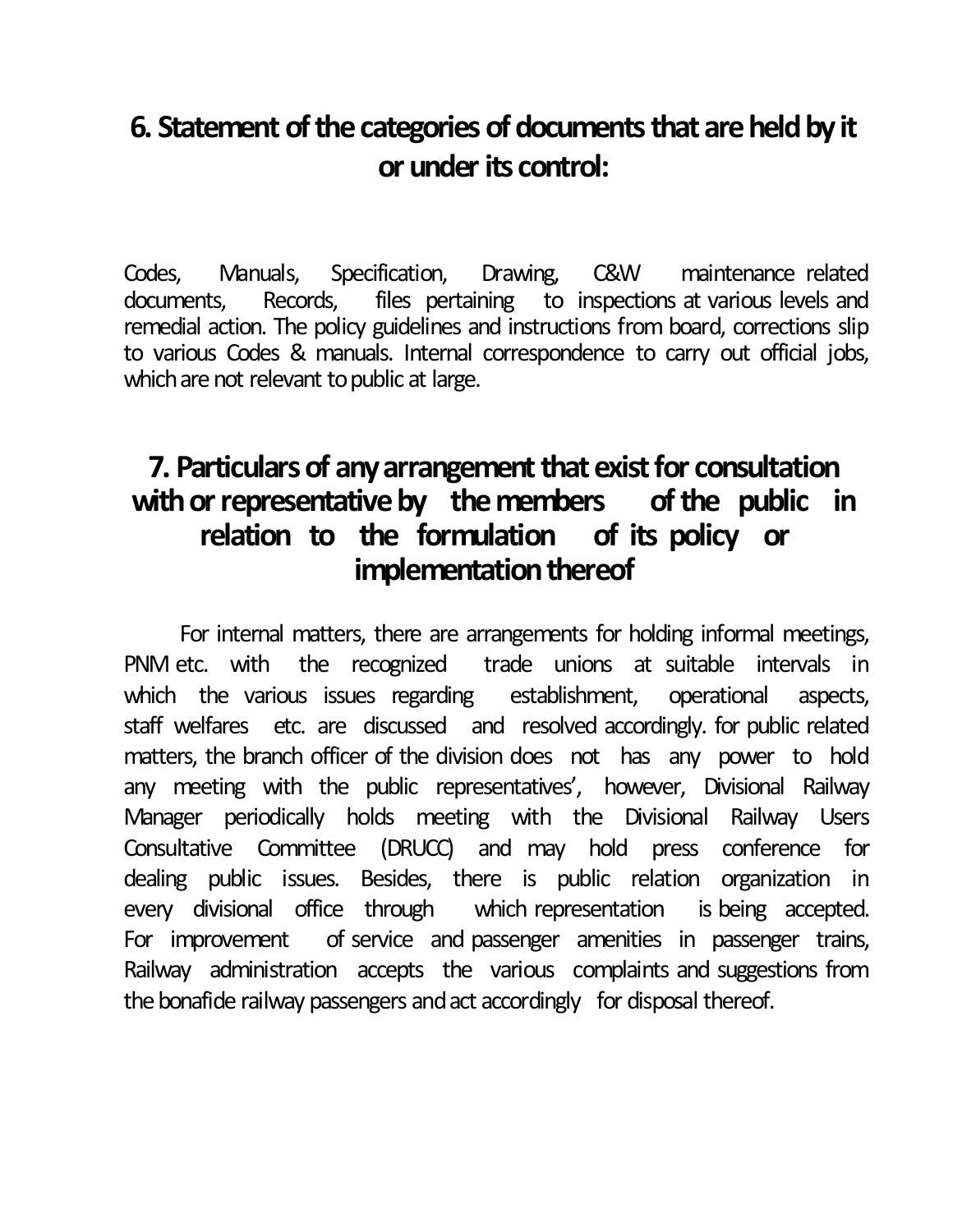## **6. Statement of the categories of documents that are held by it or underits control:**

Codes, Manuals, Specification, Drawing, C&W maintenance related documents, Records, files pertaining to inspections at various levels and remedial action. The policy guidelines and instructions from board, corrections slip to various Codes & manuals. Internal correspondence to carry out official jobs, which are not relevant to public at large.

### **7.** Particulars of any arrangement that exist for consultation with or representative by the members of the public in **relation to the formulation of its policy or implementation thereof**

For internal matters, there are arrangements for holding informal meetings, PNM etc. with the recognized trade unions at suitable intervals in which the various issues regarding establishment, operational aspects, staff welfares etc. are discussed and resolved accordingly. for public related matters, the branch officer of the division does not has any power to hold any meeting with the public representatives', however, Divisional Railway Manager periodically holds meeting with the Divisional Railway Users Consultative Committee (DRUCC) and may hold press conference for dealing public issues. Besides, there is public relation organization in every divisional office through which representation is being accepted. For improvement of service and passenger amenities in passenger trains, Railway administration accepts the various complaints and suggestions from the bonafide railway passengers and act accordingly for disposal thereof.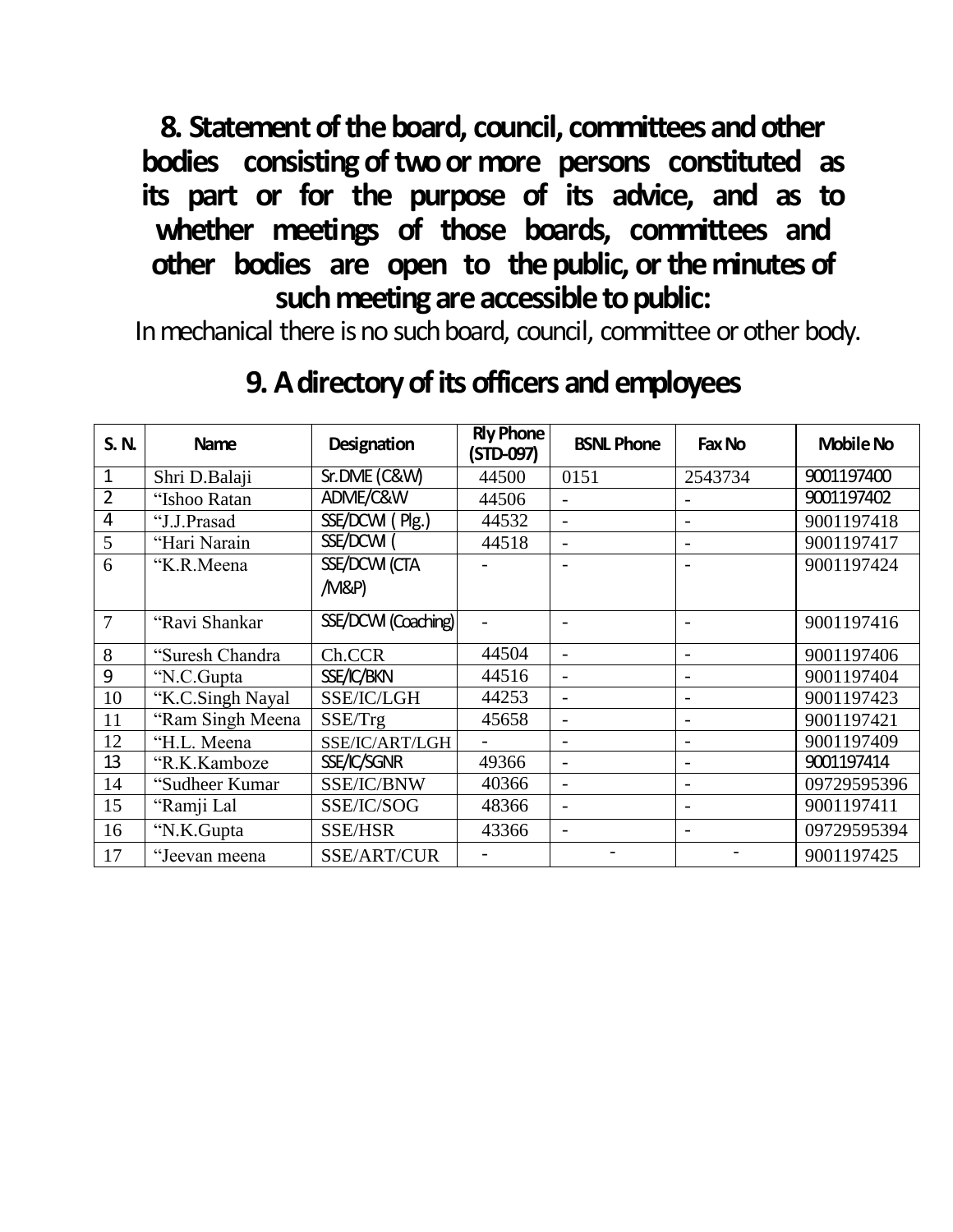**8. Statement of the board, council, committees and other** bodies consisting of two or more persons constituted as **its part or for the purpose of its advice, and as to whether meetings of those boards, committees and other bodies are open to thepublic, ortheminutesof**  such meeting are accessible to public:

In mechanical there is no such board, council, committee or other body.

| <b>S.N.</b>    | <b>Name</b>      | Designation         | <b>Rly Phone</b><br>(STD-097) | <b>BSNL Phone</b>        | Fax No                   | <b>Mobile No</b> |
|----------------|------------------|---------------------|-------------------------------|--------------------------|--------------------------|------------------|
| 1              | Shri D.Balaji    | Sr.DME (C&W)        | 44500                         | 0151                     | 2543734                  | 9001197400       |
| $\overline{2}$ | "Ishoo Ratan     | ADME/C&W            | 44506                         |                          |                          | 9001197402       |
| $\overline{4}$ | "J.J.Prasad      | $SSE/DCM$ (Plg.)    | 44532                         | $\overline{\phantom{0}}$ | $\overline{\phantom{a}}$ | 9001197418       |
| 5              | "Hari Narain     | SSE/DCWI            | 44518                         |                          |                          | 9001197417       |
| 6              | "K.R.Meena       | SSE/DCW (CTA        |                               |                          |                          | 9001197424       |
|                |                  | /M&P)               |                               |                          |                          |                  |
| $\overline{7}$ | "Ravi Shankar    | SSE/DCWI (Coaching) | $\blacksquare$                |                          | $\overline{\phantom{a}}$ | 9001197416       |
| 8              | "Suresh Chandra  | Ch.CCR              | 44504                         |                          |                          | 9001197406       |
| 9              | "N.C.Gupta       | SSE/IC/BKN          | 44516                         | $\overline{\phantom{a}}$ | $\overline{\phantom{0}}$ | 9001197404       |
| 10             | "K.C.Singh Nayal | SSE/IC/LGH          | 44253                         | $\overline{\phantom{a}}$ |                          | 9001197423       |
| 11             | "Ram Singh Meena | SSE/Trg             | 45658                         |                          |                          | 9001197421       |
| 12             | "H.L. Meena      | SSE/IC/ART/LGH      |                               |                          |                          | 9001197409       |
| 13             | "R.K.Kamboze     | SSE/IC/SGNR         | 49366                         |                          |                          | 9001197414       |
| 14             | "Sudheer Kumar   | SSE/IC/BNW          | 40366                         |                          |                          | 09729595396      |
| 15             | "Ramji Lal       | SSE/IC/SOG          | 48366                         | $\overline{\phantom{a}}$ | $\overline{\phantom{a}}$ | 9001197411       |
| 16             | "N.K.Gupta       | <b>SSE/HSR</b>      | 43366                         | $\overline{\phantom{a}}$ |                          | 09729595394      |
| 17             | "Jeevan meena    | SSE/ART/CUR         |                               |                          |                          | 9001197425       |

## **9.Adirectoryofitsofficers andemployees**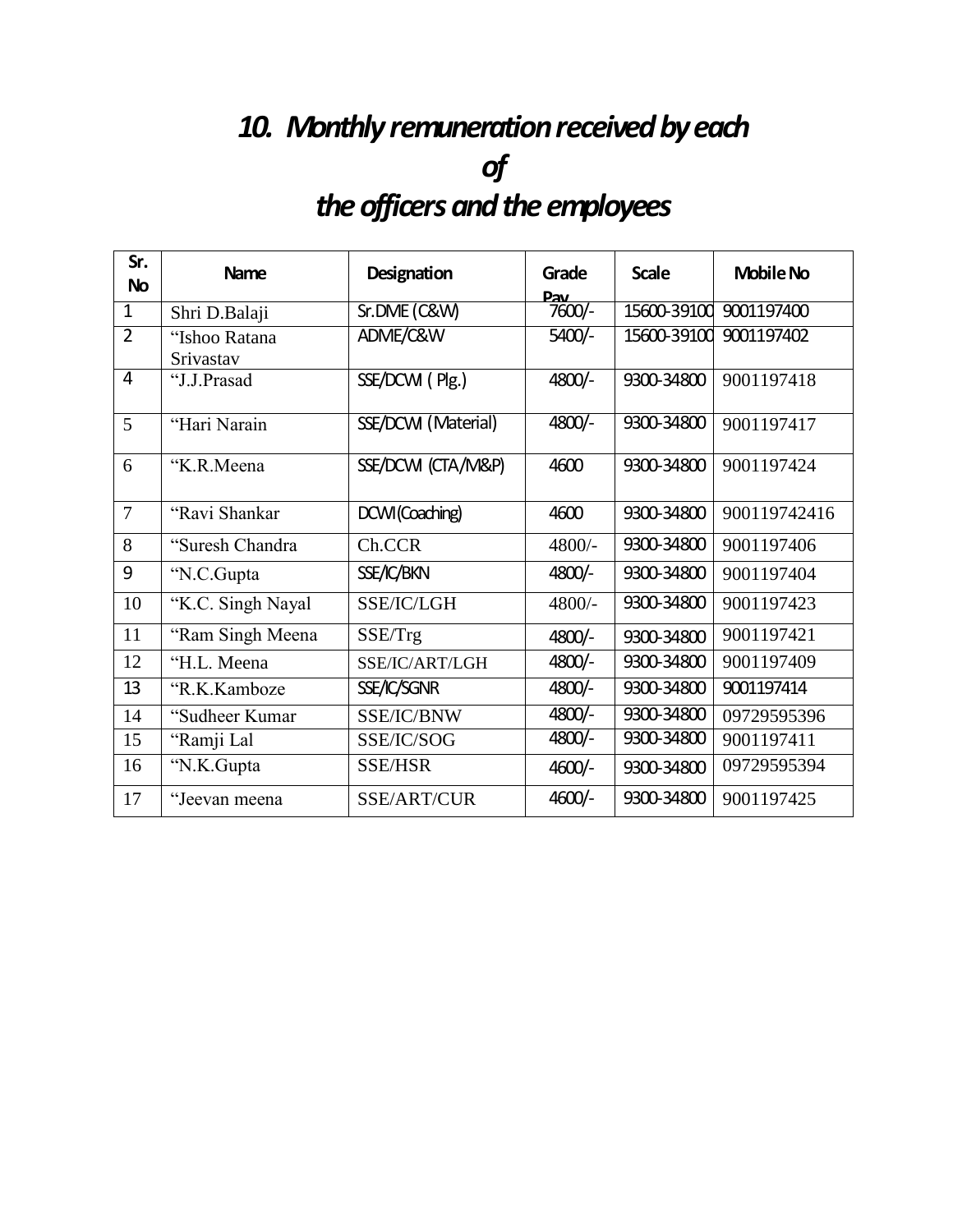# 10. Monthly remuneration received by each *of theofficersandtheemployees*

| Sr.<br><b>No</b> | <b>Name</b>       | Designation         | Grade<br><u>Pav</u> | <b>Scale</b> | <b>Mobile No</b> |
|------------------|-------------------|---------------------|---------------------|--------------|------------------|
| $\mathbf{1}$     | Shri D.Balaji     | Sr.DME (C&W)        | $7600/-$            | 15600-39100  | 9001197400       |
| $\overline{2}$   | "Ishoo Ratana     | ADME/C&W            | $5400/-$            | 15600-39100  | 9001197402       |
|                  | Srivastav         |                     |                     |              |                  |
| $\overline{4}$   | "J.J.Prasad       | SSE/DCWI (Plg.)     | 4800/-              | 9300-34800   | 9001197418       |
| 5                | "Hari Narain      | SSE/DCWI (Material) | 4800/-              | 9300-34800   | 9001197417       |
| 6                | "K.R.Meena        | SSE/DCWI (CTA/M&P)  | 4600                | 9300-34800   | 9001197424       |
| $\overline{7}$   | "Ravi Shankar     | DCWI(Coaching)      | 4600                | 9300-34800   | 900119742416     |
| 8                | "Suresh Chandra"  | Ch.CCR              | 4800/-              | 9300-34800   | 9001197406       |
| 9                | "N.C.Gupta        | SSE/IC/BKN          | 4800/-              | 9300-34800   | 9001197404       |
| 10               | "K.C. Singh Nayal | SSE/IC/LGH          | 4800/-              | 9300-34800   | 9001197423       |
| 11               | "Ram Singh Meena  | SSE/Trg             | 4800/-              | 9300-34800   | 9001197421       |
| 12               | "H.L. Meena       | SSE/IC/ART/LGH      | 4800/-              | 9300-34800   | 9001197409       |
| 13               | "R.K.Kamboze      | SSE/IC/SGNR         | 4800/-              | 9300-34800   | 9001197414       |
| 14               | "Sudheer Kumar    | SSE/IC/BNW          | $4800/-$            | 9300-34800   | 09729595396      |
| 15               | "Ramji Lal        | SSE/IC/SOG          | 4800/-              | 9300-34800   | 9001197411       |
| 16               | "N.K.Gupta        | <b>SSE/HSR</b>      | $4600/-$            | 9300-34800   | 09729595394      |
| 17               | "Jeevan meena     | SSE/ART/CUR         | $4600/-$            | 9300-34800   | 9001197425       |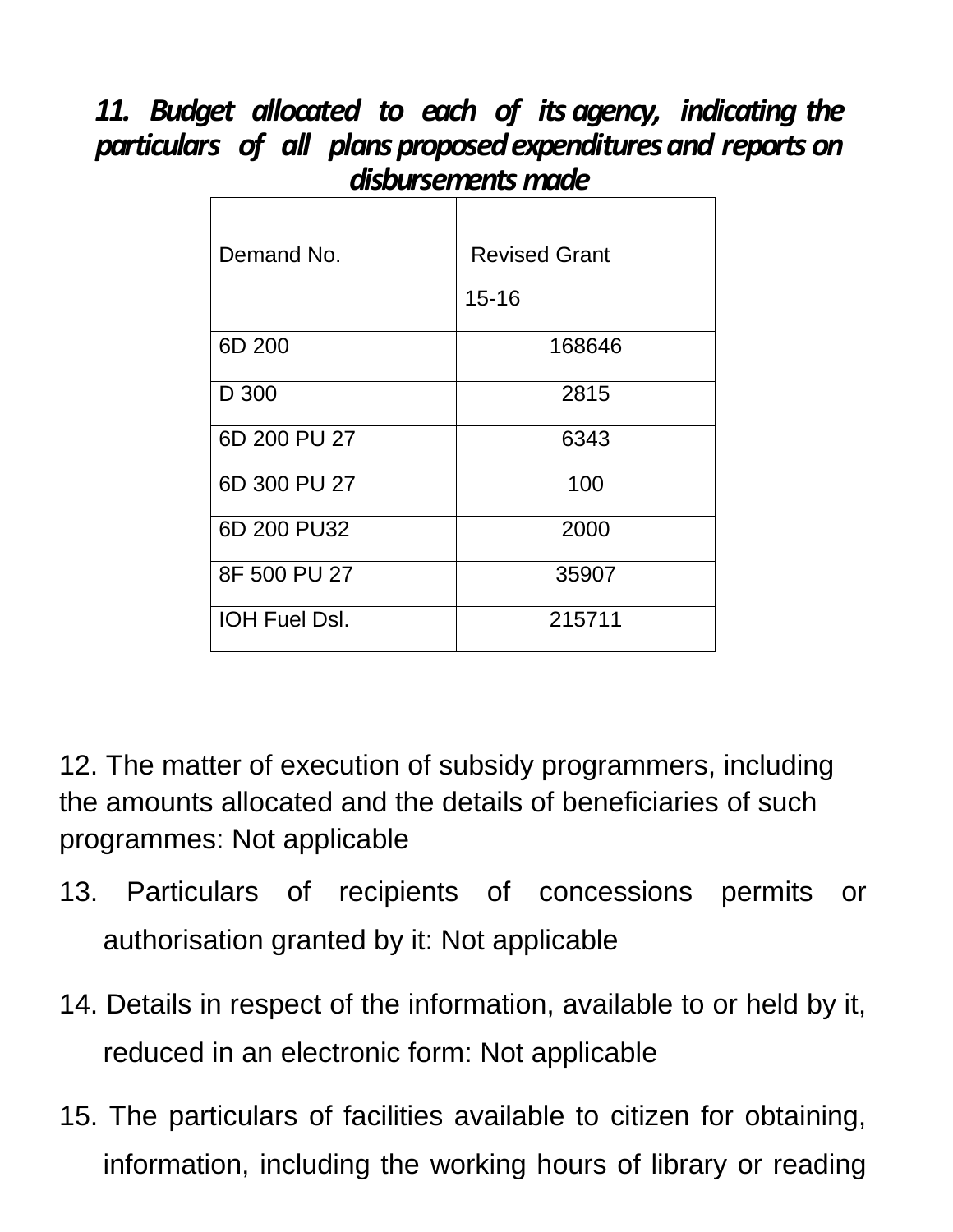#### *11. Budget allocated to each of its agency, indicating the particulars of all plansproposedexpendituresand reports on disbursements made*  $\mathbf{r}$

| Demand No.           | <b>Revised Grant</b><br>$15 - 16$ |
|----------------------|-----------------------------------|
| 6D 200               | 168646                            |
| D 300                | 2815                              |
| 6D 200 PU 27         | 6343                              |
| 6D 300 PU 27         | 100                               |
| 6D 200 PU32          | 2000                              |
| 8F 500 PU 27         | 35907                             |
| <b>IOH Fuel Dsl.</b> | 215711                            |

12. The matter of execution of subsidy programmers, including the amounts allocated and the details of beneficiaries of such programmes: Not applicable

- 13. Particulars of recipients of concessions permits or authorisation granted by it: Not applicable
- 14. Details in respect of the information, available to or held by it, reduced in an electronic form: Not applicable
- 15. The particulars of facilities available to citizen for obtaining, information, including the working hours of library or reading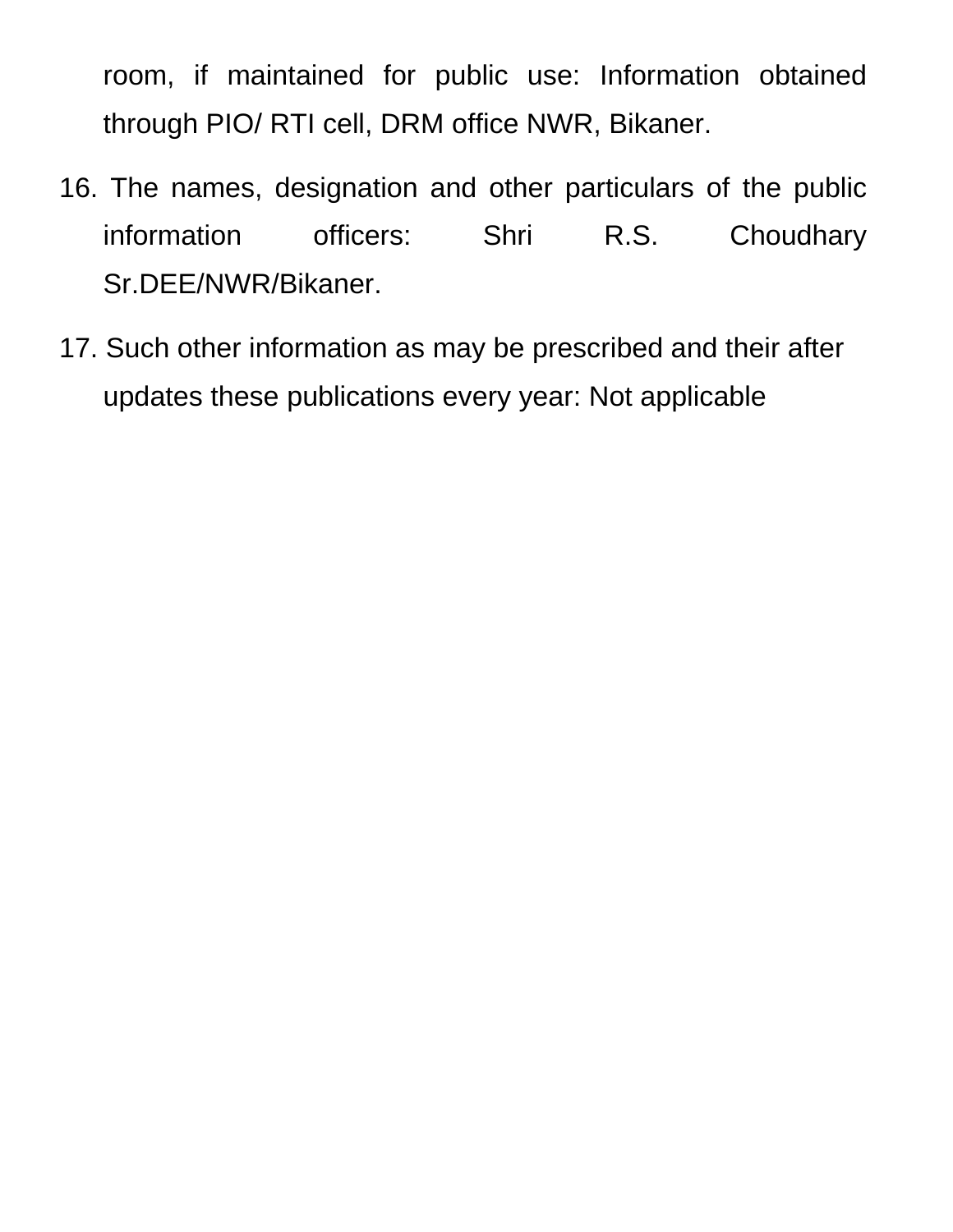room, if maintained for public use: Information obtained through PIO/ RTI cell, DRM office NWR, Bikaner.

- 16. The names, designation and other particulars of the public information officers: Shri R.S. Choudhary Sr.DEE/NWR/Bikaner.
- 17. Such other information as may be prescribed and their after updates these publications every year: Not applicable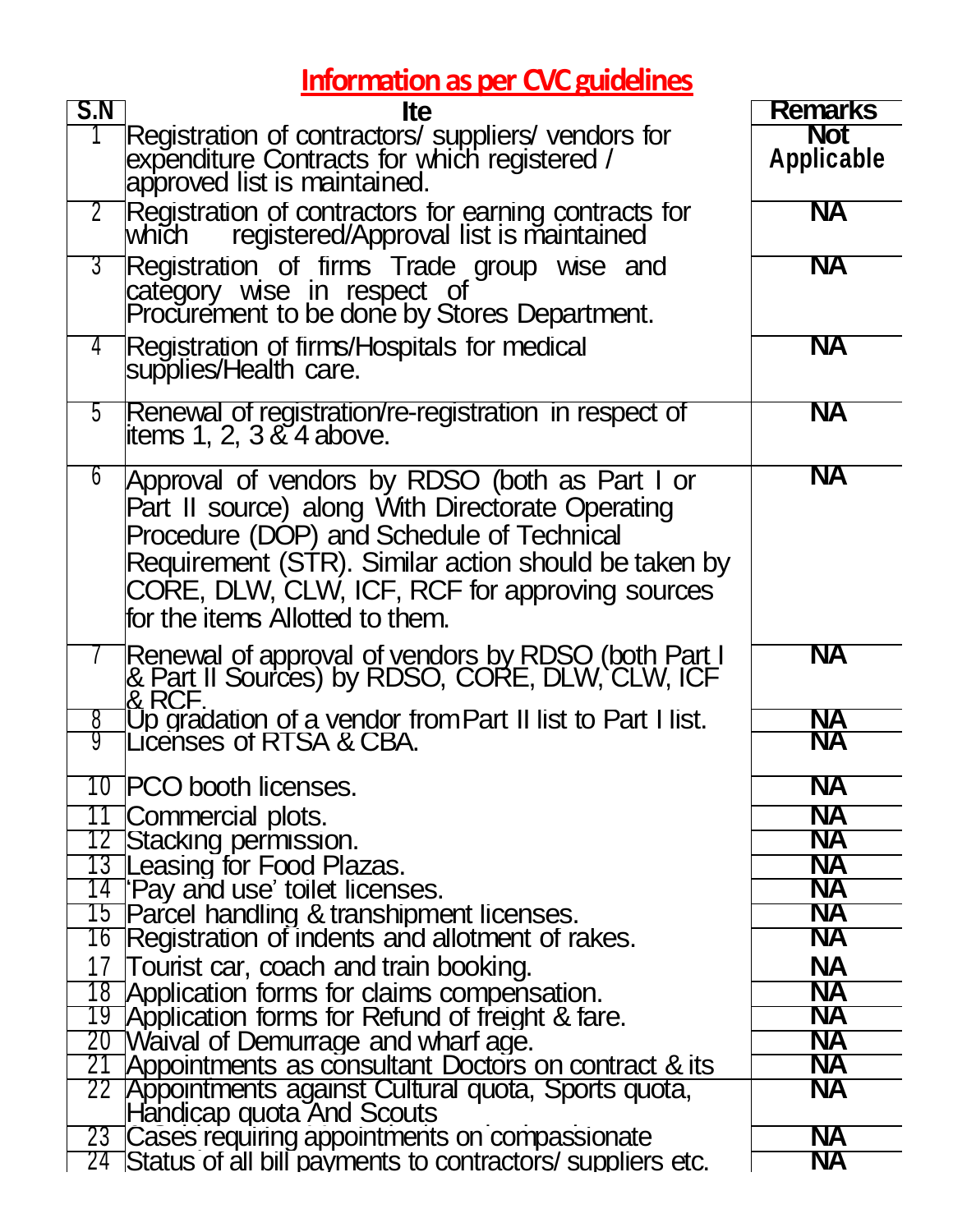## **Information as per CVC guidelines**

| S.N             | <b>Ite</b>                                                                                                                                                                                                                                                                                   | <b>Remarks</b>           |
|-----------------|----------------------------------------------------------------------------------------------------------------------------------------------------------------------------------------------------------------------------------------------------------------------------------------------|--------------------------|
|                 | Registration of contractors/ suppliers/ vendors for<br>expenditure Contracts for which registered /<br>approved list is maintained.                                                                                                                                                          | <b>Not</b><br>Applicable |
|                 | <b>2</b> Registration of contractors for earning contracts for<br>which registered/Approval list is maintained                                                                                                                                                                               | <b>NA</b>                |
| $3^-$           | Registration of firms Trade group wise and<br>category wise in respect of<br>Procurement to be done by Stores Department.                                                                                                                                                                    | <b>NA</b>                |
| 4               | Registration of firms/Hospitals for medical<br>supplies/Health care.                                                                                                                                                                                                                         | <b>NA</b>                |
| 5               | Renewal of registration/re-registration in respect of<br>litems 1, 2, 3 $\&$ 4 above.                                                                                                                                                                                                        | <b>NA</b>                |
| $6\overline{6}$ | Approval of vendors by RDSO (both as Part I or<br>Part II source) along With Directorate Operating<br>Procedure (DOP) and Schedule of Technical<br>Requirement (STR). Similar action should be taken by<br>CORE, DLW, CLW, ICF, RCF for approving sources<br>for the items Allotted to them. | <b>NA</b>                |
|                 | Renewal of approval of vendors by RDSO (both Part I<br>& Part II Sources) by RDSO, CORE, DLW, CLW, ICF<br>& RCF.                                                                                                                                                                             | <b>NA</b>                |
| 8<br>9          | Up gradation of a vendor from Part II list to Part I list.<br>Licenses of RTSA & CBA.                                                                                                                                                                                                        | <b>NA</b><br><b>NA</b>   |
|                 | 10 PCO booth licenses                                                                                                                                                                                                                                                                        | <b>NA</b>                |
|                 | 11 Commercial plots.                                                                                                                                                                                                                                                                         | <b>NA</b>                |
|                 | 12 Stacking permission.                                                                                                                                                                                                                                                                      | <b>NA</b>                |
|                 | 13 Leasing for Food Plazas.<br>14 'Pay and use' toilet licenses.                                                                                                                                                                                                                             | <b>NA</b><br><b>NA</b>   |
|                 | 15 Parcel handling & transhipment licenses.                                                                                                                                                                                                                                                  | <b>NA</b>                |
|                 | 16 Registration of indents and allotment of rakes.                                                                                                                                                                                                                                           | <b>NA</b>                |
| 17              | Tourist car, coach and train booking.                                                                                                                                                                                                                                                        | <b>NA</b>                |
|                 | 18 Application forms for claims compensation.                                                                                                                                                                                                                                                | <b>NA</b>                |
|                 | 19 Application forms for Refund of freight & fare.                                                                                                                                                                                                                                           | <b>NA</b>                |
|                 | 20 Waival of Demurrage and wharf age.                                                                                                                                                                                                                                                        | <b>NA</b>                |
| 21              | Appointments as consultant Doctors on contract & its                                                                                                                                                                                                                                         | <b>NA</b><br><b>NA</b>   |
|                 | 22 Appointments against Cultural quota, Sports quota,<br>Handicap quota And Scouts                                                                                                                                                                                                           |                          |
|                 | 23 Cases requiring appointments on compassionate                                                                                                                                                                                                                                             | <b>NA</b>                |
|                 | 24 Status of all bill payments to contractors/ suppliers etc.                                                                                                                                                                                                                                | <b>NA</b>                |